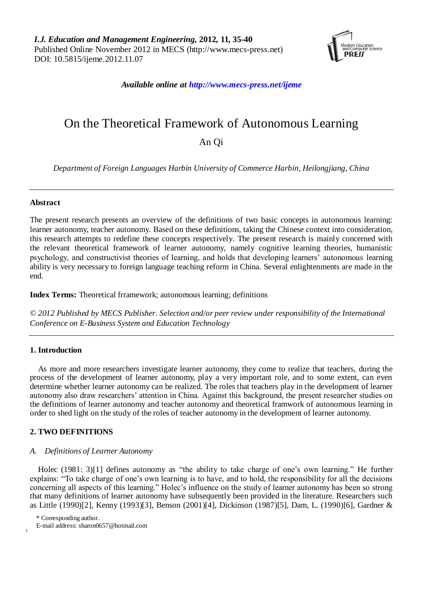

*Available online at http://www.mecs-press.net/ijeme*

# On the Theoretical Framework of Autonomous Learning

An Qi

*Department of Foreign Languages Harbin University of Commerce Harbin, Heilongjiang, China*

# **Abstract**

The present research presents an overview of the definitions of two basic concepts in autonomous learning: learner autonomy, teacher autonomy. Based on these definitions, taking the Chinese context into consideration, this research attempts to redefine these concepts respectively. The present research is mainly concerned with the relevant theoretical framework of learner autonomy, namely cognitive learning theories, humanistic psychology, and constructivist theories of learning, and holds that developing learners" autonomous learning ability is very necessary to foreign language teaching reform in China. Several enlightenments are made in the end.

**Index Terms:** Theoretical frramework; autonomous learning; definitions

*© 2012 Published by MECS Publisher. Selection and/or peer review under responsibility of the International Conference on E-Business System and Education Technology*

# **1. Introduction**

As more and more researchers investigate learner autonomy, they come to realize that teachers, during the process of the development of learner autonomy, play a very important role, and to some extent, can even determine whether learner autonomy can be realized. The roles that teachers play in the development of learner autonomy also draw researchers" attention in China. Against this background, the present researcher studies on the definitions of learner autonomy and teacher autonomy and theoretical framwork of autonomous learning in order to shed light on the study of the roles of teacher autonomy in the development of learner autonomy.

# **2. TWO DEFINITIONS**

## *A. Definitions of Learner Autonomy*

Holec (1981: 3)[1] defines autonomy as "the ability to take charge of one's own learning." He further explains: "To take charge of one"s own learning is to have, and to hold, the responsibility for all the decisions concerning all aspects of this learning." Holec's influence on the study of learner autonomy has been so strong that many definitions of learner autonomy have subsequently been provided in the literature. Researchers such as Little (1990)[2], Kenny (1993)[3], Benson (2001)[4], Dickinson (1987)[5], Dam, L. (1990)[6], Gardner &

\* Corresponding author.

E-mail address: [sharon0657@hotmail.com](mailto:sharon0657@hotmail.com)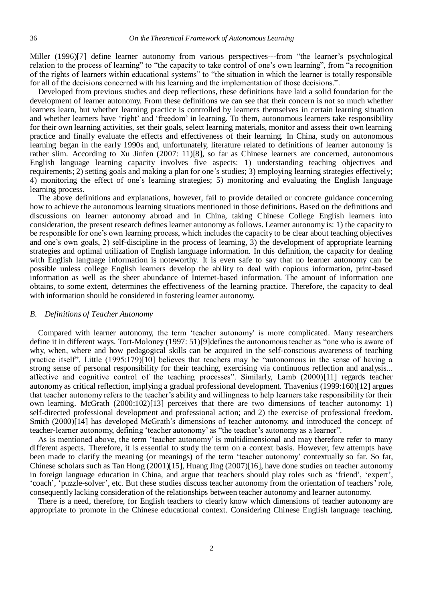Miller (1996)<sup>[7]</sup> define learner autonomy from various perspectives---from "the learner's psychological relation to the process of learning" to "the capacity to take control of one"s own learning", from "a recognition of the rights of learners within educational systems" to "the situation in which the learner is totally responsible for all of the decisions concerned with his learning and the implementation of those decisions.".

Developed from previous studies and deep reflections, these definitions have laid a solid foundation for the development of learner autonomy. From these definitions we can see that their concern is not so much whether learners learn, but whether learning practice is controlled by learners themselves in certain learning situation and whether learners have "right" and "freedom" in learning. To them, autonomous learners take responsibility for their own learning activities, set their goals, select learning materials, monitor and assess their own learning practice and finally evaluate the effects and effectiveness of their learning. In China, study on autonomous learning began in the early 1990s and, unfortunately, literature related to definitions of learner autonomy is rather slim. According to Xu Jinfen (2007: 11)[8], so far as Chinese learners are concerned, autonomous English language learning capacity involves five aspects: 1) understanding teaching objectives and requirements; 2) setting goals and making a plan for one's studies; 3) employing learning strategies effectively; 4) monitoring the effect of one"s learning strategies; 5) monitoring and evaluating the English language learning process.

The above definitions and explanations, however, fail to provide detailed or concrete guidance concerning how to achieve the autonomous learning situations mentioned in those definitions. Based on the definitions and discussions on learner autonomy abroad and in China, taking Chinese College English learners into consideration, the present research defines learner autonomy as follows. Learner autonomy is: 1) the capacity to be responsible for one"s own learning process, which includes the capacity to be clear about teaching objectives and one"s own goals, 2) self-discipline in the process of learning, 3) the development of appropriate learning strategies and optimal utilization of English language information. In this definition, the capacity for dealing with English language information is noteworthy. It is even safe to say that no learner autonomy can be possible unless college English learners develop the ability to deal with copious information, print-based information as well as the sheer abundance of Internet-based information. The amount of information one obtains, to some extent, determines the effectiveness of the learning practice. Therefore, the capacity to deal with information should be considered in fostering learner autonomy.

#### *B. Definitions of Teacher Autonomy*

Compared with learner autonomy, the term "teacher autonomy" is more complicated. Many researchers define it in different ways. Tort-Moloney (1997: 51)[9]defines the autonomous teacher as "one who is aware of why, when, where and how pedagogical skills can be acquired in the self-conscious awareness of teaching practice itself". Little (1995:179)[10] believes that teachers may be "autonomous in the sense of having a strong sense of personal responsibility for their teaching, exercising via continuous reflection and analysis... affective and cognitive control of the teaching processes". Similarly, Lamb (2000)[11] regards teacher autonomy as critical reflection, implying a gradual professional development. Thavenius (1999:160)[12] argues that teacher autonomy refers to the teacher"s ability and willingness to help learners take responsibility for their own learning. McGrath (2000:102)[13] perceives that there are two dimensions of teacher autonomy: 1) self-directed professional development and professional action; and 2) the exercise of professional freedom. Smith (2000)[14] has developed McGrath's dimensions of teacher autonomy, and introduced the concept of teacher-learner autonomy, defining "teacher autonomy" as "the teacher"s autonomy as a learner".

As is mentioned above, the term 'teacher autonomy' is multidimensional and may therefore refer to many different aspects. Therefore, it is essential to study the term on a context basis. However, few attempts have been made to clarify the meaning (or meanings) of the term 'teacher autonomy' contextually so far. So far, Chinese scholars such as Tan Hong (2001)[15], Huang Jing (2007)[16], have done studies on teacher autonomy in foreign language education in China, and argue that teachers should play roles such as "friend", "expert", "coach", "puzzle-solver", etc. But these studies discuss teacher autonomy from the orientation of teachers" role, consequently lacking consideration of the relationships between teacher autonomy and learner autonomy.

There is a need, therefore, for English teachers to clearly know which dimensions of teacher autonomy are appropriate to promote in the Chinese educational context. Considering Chinese English language teaching,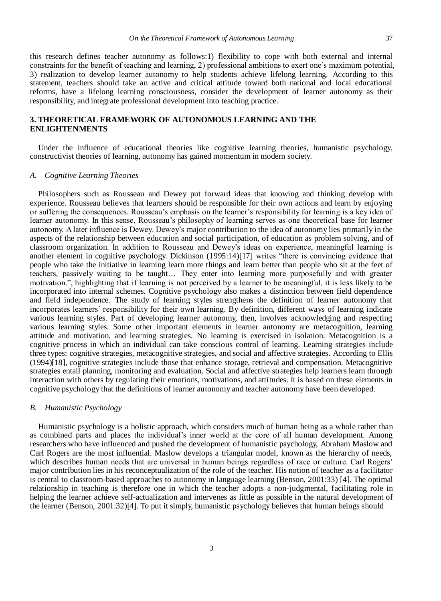this research defines teacher autonomy as follows:1) flexibility to cope with both external and internal constraints for the benefit of teaching and learning, 2) professional ambitions to exert one"s maximum potential, 3) realization to develop learner autonomy to help students achieve lifelong learning. According to this statement, teachers should take an active and critical attitude toward both national and local educational reforms, have a lifelong learning consciousness, consider the development of learner autonomy as their responsibility, and integrate professional development into teaching practice.

## **3. THEORETICAL FRAMEWORK OF AUTONOMOUS LEARNING AND THE ENLIGHTENMENTS**

Under the influence of educational theories like cognitive learning theories, humanistic psychology, constructivist theories of learning, autonomy has gained momentum in modern society.

#### *A. Cognitive Learning Theories*

Philosophers such as Rousseau and Dewey put forward ideas that knowing and thinking develop with experience. Rousseau believes that learners should be responsible for their own actions and learn by enjoying or suffering the consequences. Rousseau"s emphasis on the learner"s responsibility for learning is a key idea of learner autonomy. In this sense, Rousseau"s philosophy of learning serves as one theoretical base for learner autonomy. A later influence is Dewey. Dewey"s major contribution to the idea of autonomy lies primarily in the aspects of the relationship between education and social participation, of education as problem solving, and of classroom organization. In addition to Rousseau and Dewey"s ideas on experience, meaningful learning is another element in cognitive psychology. Dickinson (1995:14)[17] writes "there is convincing evidence that people who take the initiative in learning learn more things and learn better than people who sit at the feet of teachers, passively waiting to be taught… They enter into learning more purposefully and with greater motivation.", highlighting that if learning is not perceived by a learner to be meaningful, it is less likely to be incorporated into internal schemes. Cognitive psychology also makes a distinction between field dependence and field independence. The study of learning styles strengthens the definition of learner autonomy that incorporates learners" responsibility for their own learning. By definition, different ways of learning indicate various learning styles. Part of developing learner autonomy, then, involves acknowledging and respecting various learning styles. Some other important elements in learner autonomy are metacognition, learning attitude and motivation, and learning strategies. No learning is exercised in isolation. Metacognition is a cognitive process in which an individual can take conscious control of learning. Learning strategies include three types: cognitive strategies, metacognitive strategies, and social and affective strategies. According to Ellis (1994)[18], cognitive strategies include those that enhance storage, retrieval and compensation. Metacognitive strategies entail planning, monitoring and evaluation. Social and affective strategies help learners learn through interaction with others by regulating their emotions, motivations, and attitudes. It is based on these elements in cognitive psychology that the definitions of learner autonomy and teacher autonomy have been developed.

#### *B. Humanistic Psychology*

Humanistic psychology is a holistic approach, which considers much of human being as a whole rather than as combined parts and places the individual's inner world at the core of all human development. Among researchers who have influenced and pushed the development of humanistic psychology, Abraham Maslow and Carl Rogers are the most influential. Maslow develops a triangular model, known as the hierarchy of needs, which describes human needs that are universal in human beings regardless of race or culture. Carl Rogers' major contribution lies in his reconceptualization of the role of the teacher. His notion of teacher as a facilitator is central to classroom-based approaches to autonomy in language learning (Benson, 2001:33) [4]. The optimal relationship in teaching is therefore one in which the teacher adopts a non-judgmental, facilitating role in helping the learner achieve self-actualization and intervenes as little as possible in the natural development of the learner (Benson, 2001:32)[4]. To put it simply, humanistic psychology believes that human beings should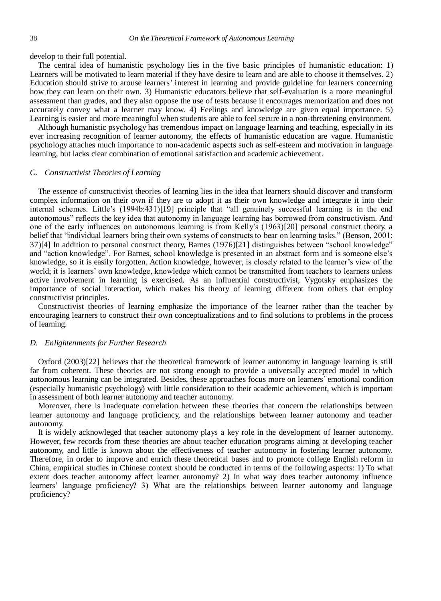develop to their full potential.

The central idea of humanistic psychology lies in the five basic principles of humanistic education: 1) Learners will be motivated to learn material if they have desire to learn and are able to choose it themselves. 2) Education should strive to arouse learners" interest in learning and provide guideline for learners concerning how they can learn on their own. 3) Humanistic educators believe that self-evaluation is a more meaningful assessment than grades, and they also oppose the use of tests because it encourages memorization and does not accurately convey what a learner may know. 4) Feelings and knowledge are given equal importance. 5) Learning is easier and more meaningful when students are able to feel secure in a non-threatening environment.

Although humanistic psychology has tremendous impact on language learning and teaching, especially in its ever increasing recognition of learner autonomy, the effects of humanistic education are vague. Humanistic psychology attaches much importance to non-academic aspects such as self-esteem and motivation in language learning, but lacks clear combination of emotional satisfaction and academic achievement.

#### *C. Constructivist Theories of Learning*

The essence of constructivist theories of learning lies in the idea that learners should discover and transform complex information on their own if they are to adopt it as their own knowledge and integrate it into their internal schemes. Little's (1994b:431)[19] principle that "all genuinely successful learning is in the end autonomous" reflects the key idea that autonomy in language learning has borrowed from constructivism. And one of the early influences on autonomous learning is from Kelly"s (1963)[20] personal construct theory, a belief that "individual learners bring their own systems of constructs to bear on learning tasks." (Benson, 2001: 37)[4] In addition to personal construct theory, Barnes (1976)[21] distinguishes between "school knowledge" and "action knowledge". For Barnes, school knowledge is presented in an abstract form and is someone else"s knowledge, so it is easily forgotten. Action knowledge, however, is closely related to the learner's view of the world; it is learners' own knowledge, knowledge which cannot be transmitted from teachers to learners unless active involvement in learning is exercised. As an influential constructivist, Vygotsky emphasizes the importance of social interaction, which makes his theory of learning different from others that employ constructivist principles.

Constructivist theories of learning emphasize the importance of the learner rather than the teacher by encouraging learners to construct their own conceptualizations and to find solutions to problems in the process of learning.

## *D. Enlightenments for Further Research*

Oxford (2003)[22] believes that the theoretical framework of learner autonomy in language learning is still far from coherent. These theories are not strong enough to provide a universally accepted model in which autonomous learning can be integrated. Besides, these approaches focus more on learners" emotional condition (especially humanistic psychology) with little consideration to their academic achievement, which is important in assessment of both learner autonomy and teacher autonomy.

Moreover, there is inadequate correlation between these theories that concern the relationships between learner autonomy and language proficiency, and the relationships between learner autonomy and teacher autonomy.

It is widely acknowleged that teacher autonomy plays a key role in the development of learner autonomy. However, few records from these theories are about teacher education programs aiming at developing teacher autonomy, and little is known about the effectiveness of teacher autonomy in fostering learner autonomy. Therefore, in order to improve and enrich these theoretical bases and to promote college English reform in China, empirical studies in Chinese context should be conducted in terms of the following aspects: 1) To what extent does teacher autonomy affect learner autonomy? 2) In what way does teacher autonomy influence learners" language proficiency? 3) What are the relationships between learner autonomy and language proficiency?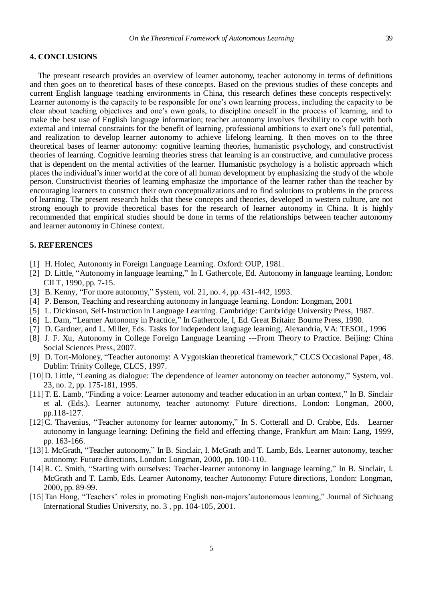#### **4. CONCLUSIONS**

The preseant research provides an overview of learner autonomy, teacher autonomy in terms of definitions and then goes on to theoretical bases of these concepts. Based on the previous studies of these concepts and current English language teaching environments in China, this research defines these concepts respectively: Learner autonomy is the capacity to be responsible for one"s own learning process, including the capacity to be clear about teaching objectives and one"s own goals, to discipline oneself in the process of learning, and to make the best use of English language information; teacher autonomy involves flexibility to cope with both external and internal constraints for the benefit of learning, professional ambitions to exert one"s full potential, and realization to develop learner autonomy to achieve lifelong learning. It then moves on to the three theoretical bases of learner autonomy: cognitive learning theories, humanistic psychology, and constructivist theories of learning. Cognitive learning theories stress that learning is an constructive, and cumulative process that is dependent on the mental activities of the learner. Humanistic psychology is a holistic approach which places the individual"s inner world at the core of all human development by emphasizing the study of the whole person. Constructivist theories of learning emphasize the importance of the learner rather than the teacher by encouraging learners to construct their own conceptualizations and to find solutions to problems in the process of learning. The present research holds that these concepts and theories, developed in western culture, are not strong enough to provide theoretical bases for the research of learner autonomy in China. It is highly recommended that empirical studies should be done in terms of the relationships between teacher autonomy and learner autonomy in Chinese context.

## **5. REFERENCES**

- [1] H. Holec, Autonomy in Foreign Language Learning. Oxford: OUP, 1981.
- [2] D. Little, "Autonomy in language learning," In I. Gathercole, Ed. Autonomy in language learning, London: CILT, 1990, pp. 7-15.
- [3] B. Kenny, "For more autonomy," System, vol. 21, no. 4, pp. 431-442, 1993.
- [4] P. Benson, Teaching and researching autonomy in language learning. London: Longman, 2001
- [5] L. Dickinson, Self-Instruction in Language Learning. Cambridge: Cambridge University Press, 1987.
- [6] L. Dam, "Learner Autonomy in Practice," In Gathercole, I, Ed. Great Britain: Bourne Press, 1990.
- [7] D. Gardner, and L. Miller, Eds. Tasks for independent language learning, Alexandria, VA: TESOL, 1996
- [8] J. F. Xu, Autonomy in College Foreign Language Learning ---From Theory to Practice. Beijing: China Social Sciences Press, 2007.
- [9] D. Tort-Moloney, "Teacher autonomy: A Vygotskian theoretical framework," CLCS Occasional Paper, 48. Dublin: Trinity College, CLCS, 1997.
- [10]D. Little, "Leaning as dialogue: The dependence of learner autonomy on teacher autonomy," System, vol. 23, no. 2, pp. 175-181, 1995.
- [11]T. E. Lamb, "Finding a voice: Learner autonomy and teacher education in an urban context," In B. Sinclair et al. (Eds.). Learner autonomy, teacher autonomy: Future directions, London: Longman, 2000, pp.118-127.
- [12]C. Thavenius, "Teacher autonomy for learner autonomy," In S. Cotterall and D. Crabbe, Eds. Learner autonomy in language learning: Defining the field and effecting change, Frankfurt am Main: Lang, 1999, pp. 163-166.
- [13]I. McGrath, "Teacher autonomy," In B. Sinclair, I. McGrath and T. Lamb, Eds. Learner autonomy, teacher autonomy: Future directions, London: Longman, 2000, pp. 100-110.
- [14]R. C. Smith, "Starting with ourselves: Teacher-learner autonomy in language learning," In B. Sinclair, I. McGrath and T. Lamb, Eds. Learner Autonomy, teacher Autonomy: Future directions, London: Longman, 2000, pp. 89-99.
- [15]Tan Hong, "Teachers' roles in promoting English non-majors'autonomous learning," Journal of Sichuang International Studies University, no. 3 , pp. 104-105, 2001.